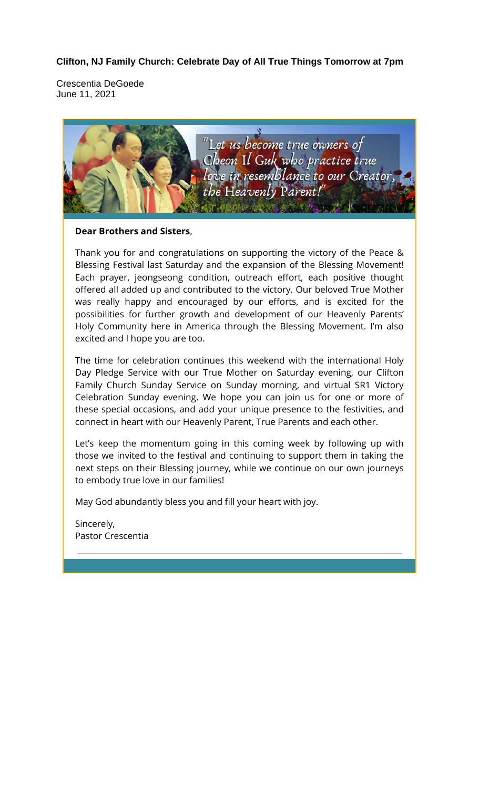### **Clifton, NJ Family Church: Celebrate Day of All True Things Tomorrow at 7pm**

Crescentia DeGoede June 11, 2021



#### **Dear Brothers and Sisters**,

Thank you for and congratulations on supporting the victory of the Peace & Blessing Festival last Saturday and the expansion of the Blessing Movement! Each prayer, jeongseong condition, outreach effort, each positive thought offered all added up and contributed to the victory. Our beloved True Mother was really happy and encouraged by our efforts, and is excited for the possibilities for further growth and development of our Heavenly Parents' Holy Community here in America through the Blessing Movement. I'm also excited and I hope you are too.

The time for celebration continues this weekend with the international Holy Day Pledge Service with our True Mother on Saturday evening, our Clifton Family Church Sunday Service on Sunday morning, and virtual SR1 Victory Celebration Sunday evening. We hope you can join us for one or more of these special occasions, and add your unique presence to the festivities, and connect in heart with our Heavenly Parent, True Parents and each other.

Let's keep the momentum going in this coming week by following up with those we invited to the festival and continuing to support them in taking the next steps on their Blessing journey, while we continue on our own journeys to embody true love in our families!

May God abundantly bless you and fill your heart with joy.

Sincerely, Pastor Crescentia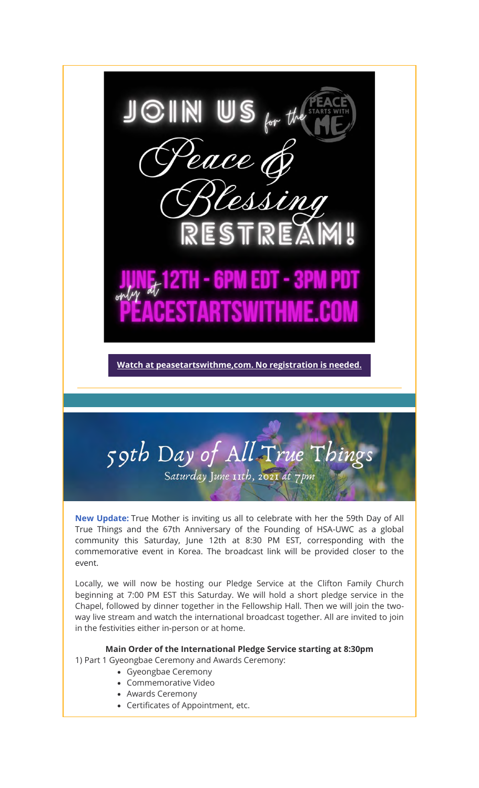

**New Update:** True Mother is inviting us all to celebrate with her the 59th Day of All True Things and the 67th Anniversary of the Founding of HSA-UWC as a global community this Saturday, June 12th at 8:30 PM EST, corresponding with the commemorative event in Korea. The broadcast link will be provided closer to the event.

59th Day of All True Things

Saturday June 11th, 2021 at 7pm

Locally, we will now be hosting our Pledge Service at the Clifton Family Church beginning at 7:00 PM EST this Saturday. We will hold a short pledge service in the Chapel, followed by dinner together in the Fellowship Hall. Then we will join the twoway live stream and watch the international broadcast together. All are invited to join in the festivities either in-person or at home.

#### **Main Order of the International Pledge Service starting at 8:30pm**

1) Part 1 Gyeongbae Ceremony and Awards Ceremony:

- Gyeongbae Ceremony
- Commemorative Video
- Awards Ceremony
- Certificates of Appointment, etc.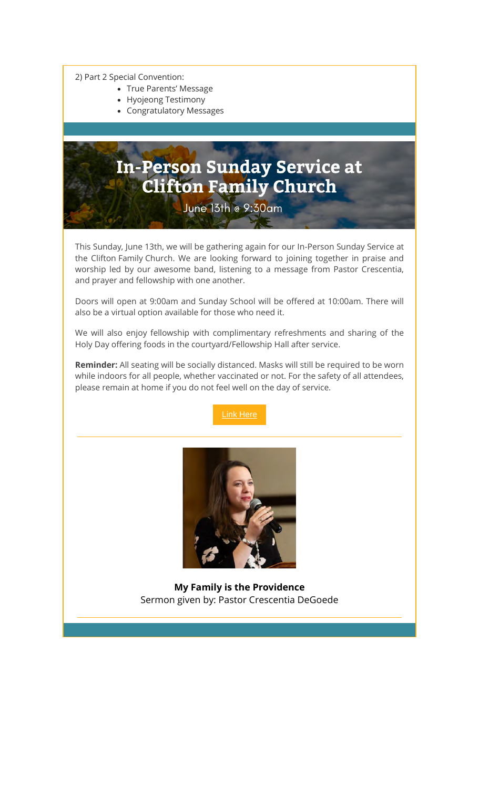2) Part 2 Special Convention:

- True Parents' Message
- Hyojeong Testimony
- Congratulatory Messages

# **In-Person Sunday Service at Clifton Family Church**

June 13th @ 9:30am

This Sunday, June 13th, we will be gathering again for our In-Person Sunday Service at the Clifton Family Church. We are looking forward to joining together in praise and worship led by our awesome band, listening to a message from Pastor Crescentia, and prayer and fellowship with one another.

Doors will open at 9:00am and Sunday School will be offered at 10:00am. There will also be a virtual option available for those who need it.

We will also enjoy fellowship with complimentary refreshments and sharing of the Holy Day offering foods in the courtyard/Fellowship Hall after service.

**Reminder:** All seating will be socially distanced. Masks will still be required to be worn while indoors for all people, whether vaccinated or not. For the safety of all attendees, please remain at home if you do not feel well on the day of service.



![](_page_2_Picture_11.jpeg)

**My Family is the Providence** Sermon given by: Pastor Crescentia DeGoede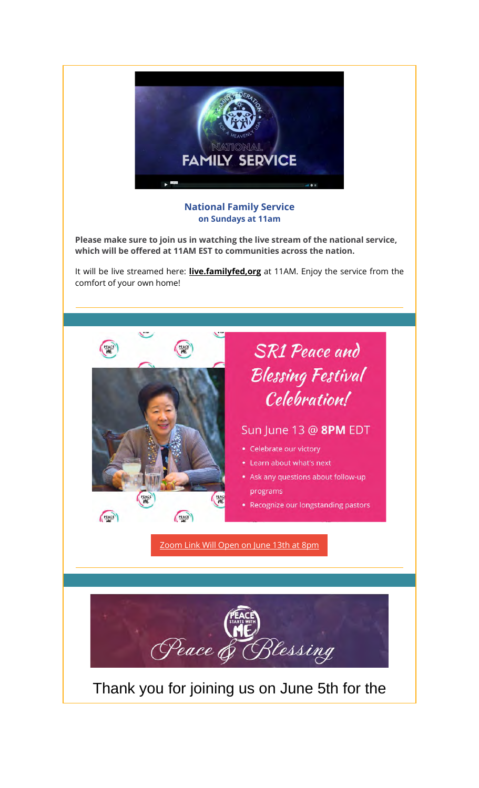![](_page_3_Picture_0.jpeg)

#### **National Family Service on Sundays at 11am**

**Please make sure to join us in watching the live stream of the national service, which will be offered at 11AM EST to communities across the nation.**

It will be live streamed here: **live.familyfed,org** at 11AM. Enjoy the service from the comfort of your own home!

![](_page_3_Picture_4.jpeg)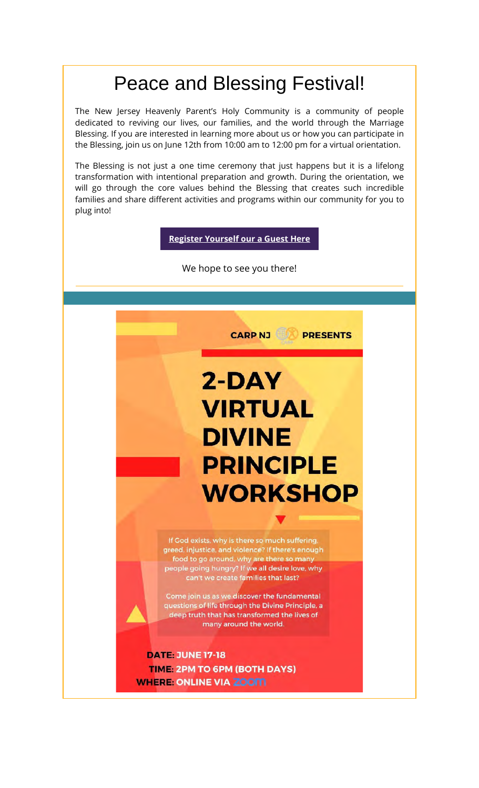# Peace and Blessing Festival!

The New Jersey Heavenly Parent's Holy Community is a community of people dedicated to reviving our lives, our families, and the world through the Marriage Blessing. If you are interested in learning more about us or how you can participate in the Blessing, join us on June 12th from 10:00 am to 12:00 pm for a virtual orientation.

The Blessing is not just a one time ceremony that just happens but it is a lifelong transformation with intentional preparation and growth. During the orientation, we will go through the core values behind the Blessing that creates such incredible families and share different activities and programs within our community for you to plug into!

**Register Yourself our a Guest Here**

We hope to see you there!

![](_page_4_Picture_5.jpeg)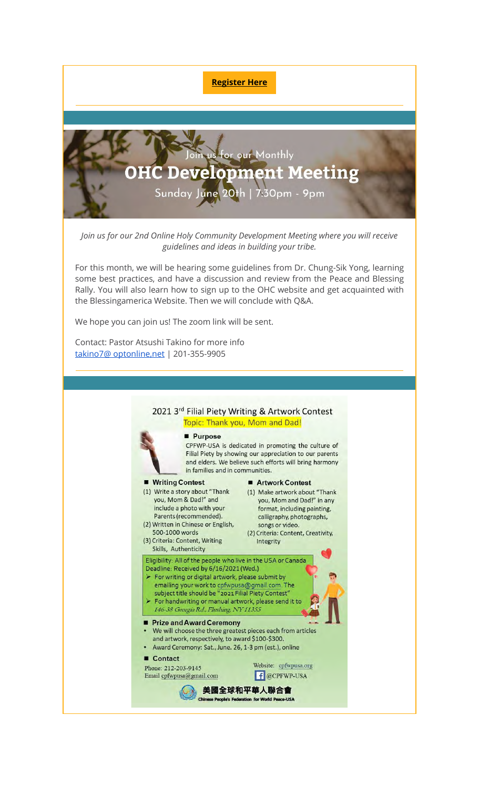**Register Here**

![](_page_5_Picture_1.jpeg)

*Join us for our 2nd Online Holy Community Development Meeting where you will receive guidelines and ideas in building your tribe.*

For this month, we will be hearing some guidelines from Dr. Chung-Sik Yong, learning some best practices, and have a discussion and review from the Peace and Blessing Rally. You will also learn how to sign up to the OHC website and get acquainted with the Blessingamerica Website. Then we will conclude with Q&A.

We hope you can join us! The zoom link will be sent.

Contact: Pastor Atsushi Takino for more info takino7@ optonline,net | 201-355-9905

![](_page_5_Figure_6.jpeg)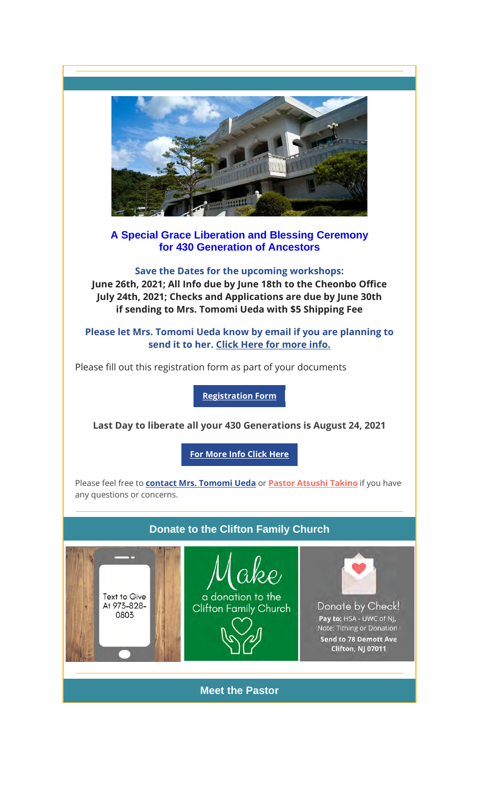![](_page_6_Picture_0.jpeg)

## **A Special Grace Liberation and Blessing Ceremony for 430 Generation of Ancestors**

**Save the Dates for the upcoming workshops: June 26th, 2021; All Info due by June 18th to the Cheonbo Office July 24th, 2021; Checks and Applications are due by June 30th if sending to Mrs. Tomomi Ueda with \$5 Shipping Fee**

**Please let Mrs. Tomomi Ueda know by email if you are planning to send it to her. Click Here for more info.**

Please fill out this registration form as part of your documents

**Registration Form**

**Last Day to liberate all your 430 Generations is August 24, 2021**

**For More Info Click Here**

Please feel free to **contact Mrs. Tomomi Ueda** or **Pastor Atsushi Takino** if you have any questions or concerns.

### **Donate to the Clifton Family Church**

![](_page_6_Picture_10.jpeg)

![](_page_6_Picture_11.jpeg)

![](_page_6_Picture_12.jpeg)

![](_page_6_Picture_13.jpeg)

Donate by Check! Pay to: HSA - UWC of NJ, Note: Tithing or Donation Send to 78 Demott Ave Clifton, NJ 07011

**Meet the Pastor**